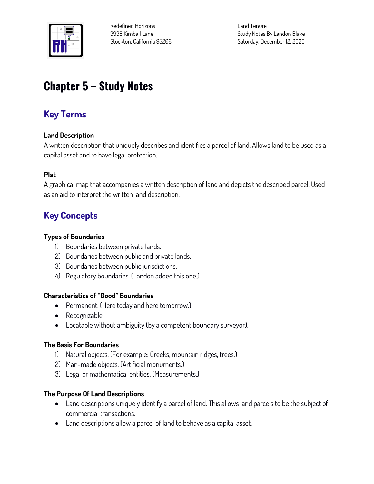

**Redefined Horizons 3938 Kimball Lane Stockton, California 95206** **Land Tenure Study Notes By Landon Blake Saturday, December 12, 2020**

# **Chapter 5 – Study Notes**

# **Key Terms**

### **Land Description**

**A written description that uniquely describes and identifies a parcel of land. Allows land to be used as a capital asset and to have legal protection.**

#### **Plat**

**A graphical map that accompanies a written description of land and depicts the described parcel. Used as an aid to interpret the written land description.**

## **Key Concepts**

#### **Types of Boundaries**

- **1) Boundaries between private lands.**
- **2) Boundaries between public and private lands.**
- **3) Boundaries between public jurisdictions.**
- **4) Regulatory boundaries. (Landon added this one.)**

#### **Characteristics of "Good" Boundaries**

- **Permanent. (Here today and here tomorrow.)**
- Recognizable.
- **Locatable without ambiguity (by a competent boundary surveyor).**

#### **The Basis For Boundaries**

- **1) Natural objects. (For example: Creeks, mountain ridges, trees.)**
- **2) Man-made objects. (Artificial monuments.)**
- **3) Legal or mathematical entities. (Measurements.)**

#### **The Purpose Of Land Descriptions**

- **Land descriptions uniquely identify a parcel of land. This allows land parcels to be the subject of commercial transactions.**
- **Land descriptions allow a parcel of land to behave as a capital asset.**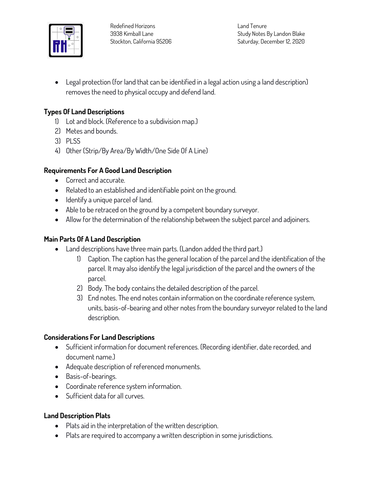

**Land Tenure Study Notes By Landon Blake Saturday, December 12, 2020**

 **Legal protection (for land that can be identified in a legal action using a land description) removes the need to physical occupy and defend land.**

#### **Types Of Land Descriptions**

- **1) Lot and block. (Reference to a subdivision map.)**
- **2) Metes and bounds.**
- **3) PLSS**
- **4) Other (Strip/By Area/By Width/One Side Of A Line)**

#### **Requirements For A Good Land Description**

- **Correct and accurate.**
- **Related to an established and identifiable point on the ground.**
- **Identify a unique parcel of land.**
- **Able to be retraced on the ground by a competent boundary surveyor.**
- **Allow for the determination of the relationship between the subject parcel and adjoiners.**

### **Main Parts Of A Land Description**

- **Land descriptions have three main parts. (Landon added the third part.)**
	- **1) Caption. The caption has the general location of the parcel and the identification of the parcel. It may also identify the legal jurisdiction of the parcel and the owners of the parcel.**
	- **2) Body. The body contains the detailed description of the parcel.**
	- **3) End notes. The end notes contain information on the coordinate reference system, units, basis-of-bearing and other notes from the boundary surveyor related to the land description.**

#### **Considerations For Land Descriptions**

- **Sufficient information for document references. (Recording identifier, date recorded, and document name.)**
- **Adequate description of referenced monuments.**
- **Basis-of-bearings.**
- **Coordinate reference system information.**
- **Sufficient data for all curves.**

#### **Land Description Plats**

- **Plats aid in the interpretation of the written description.**
- **Plats are required to accompany a written description in some jurisdictions.**